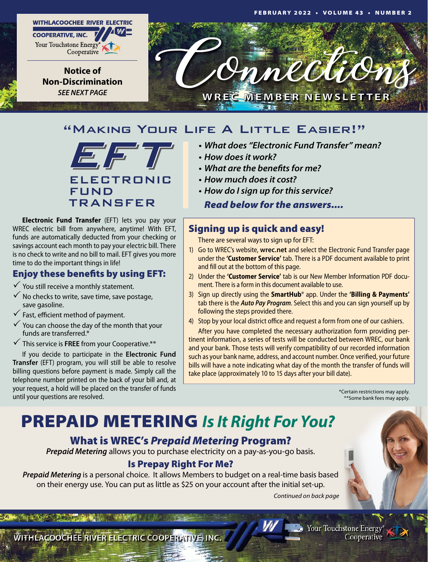

## "Making Your Life A Little Easier!"



**Electronic Fund Transfer** (EFT) lets you pay your WREC electric bill from anywhere, anytime! With EFT, funds are automatically deducted from your checking or savings account each month to pay your electric bill. There is no check to write and no bill to mail. EFT gives you more time to do the important things in life!

## Enjoy these benefits by using EFT:

 $\checkmark$  You still receive a monthly statement.

- $\checkmark$  No checks to write, save time, save postage, save gasoline.
- $\checkmark$  Fast, efficient method of payment.
- $\checkmark$  You can choose the day of the month that your funds are transferred.\*
- $\checkmark$  This service is FREE from your Cooperative.\*\*

If you decide to participate in the **Electronic Fund Transfer** (EFT) program, you will still be able to resolve billing questions before payment is made. Simply call the telephone number printed on the back of your bill and, at your request, a hold will be placed on the transfer of funds until your questions are resolved.

### **• What does "Electronic Fund Transfer" mean?**

- **• How doesit work?**
- **• What are the benefitsfor me?**
- **• How much doesit cost?**
- **• How do Isign up for thisservice?**

*Read below for the answers....*

## Signing up is quick and easy!

There are several ways to sign up for EFT:

- 1) Go to WREC's website, **wrec.net** and select the Electronic Fund Transfer page under the **'Customer Service'** tab. There is a PDF document available to print and fill out at the bottom of this page.
- 2) Under the **'Customer Service'** tab is our New Member Information PDF document. There is a form in this document available to use.
- 3) Sign up directly using the **SmartHub**® app. Under the **'Billing & Payments'** tab there is the *Auto Pay Program*. Select this and you can sign yourself up by following the steps provided there.
- 4) Stop by your local district office and request a form from one of our cashiers.

After you have completed the necessary authorization form providing pertinent information, a series of tests will be conducted between WREC, our bank and your bank. Those tests will verify compatibility of our recorded information such as your bank name, address, and account number. Once verified, your future bills will have a note indicating what day of the month the transfer of funds will take place (approximately 10 to 15 days after your bill date).

> \*Certain restrictions may apply. \*\*Some bank fees may apply.

# PREPAID METERING *Is It Right For You?*

## What is WREC's *Prepaid Metering* Program?

*Prepaid Metering* allows you to purchase electricity on a pay-as-you-go basis.

## Is Prepay Right For Me?

*Prepaid Metering* is a personal choice. It allows Members to budget on a real-time basis based on their energy use. You can put as little as \$25 on your account after the initial set-up.

*Continued on back page*

WITHLACOOCHEE RIVER ELECTRIC COOPERATIVE, INC.

Your Touchstone Energy® Cooperative